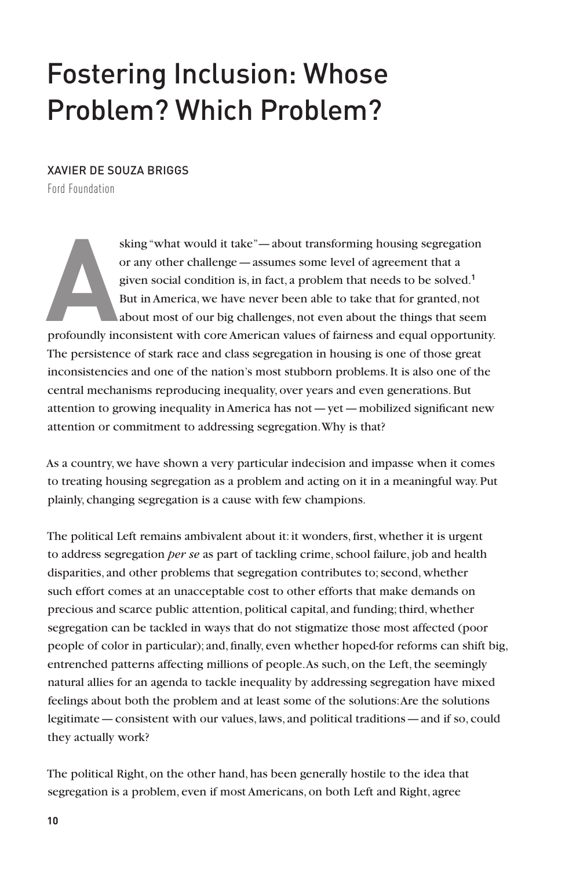# Fostering Inclusion: Whose Problem? Which Problem?

## XAVIER DE SOUZA BRIGGS

Ford Foundation

Sking "what would it take"—about transforming housing segregation<br>
or any other challenge —assumes some level of agreement that a<br>
given social condition is, in fact, a problem that needs to be solved.<sup>1</sup><br>
But in America, or any other challenge—assumes some level of agreement that a given social condition is, in fact, a problem that needs to be solved.**<sup>1</sup>** But in America, we have never been able to take that for granted, not about most of our big challenges, not even about the things that seem The persistence of stark race and class segregation in housing is one of those great inconsistencies and one of the nation's most stubborn problems. It is also one of the central mechanisms reproducing inequality, over years and even generations. But attention to growing inequality in America has not—yet—mobilized significant new attention or commitment to addressing segregation. Why is that?

As a country, we have shown a very particular indecision and impasse when it comes to treating housing segregation as a problem and acting on it in a meaningful way. Put plainly, changing segregation is a cause with few champions.

The political Left remains ambivalent about it: it wonders, first, whether it is urgent to address segregation *per se* as part of tackling crime, school failure, job and health disparities, and other problems that segregation contributes to; second, whether such effort comes at an unacceptable cost to other efforts that make demands on precious and scarce public attention, political capital, and funding; third, whether segregation can be tackled in ways that do not stigmatize those most affected (poor people of color in particular); and, finally, even whether hoped-for reforms can shift big, entrenched patterns affecting millions of people. As such, on the Left, the seemingly natural allies for an agenda to tackle inequality by addressing segregation have mixed feelings about both the problem and at least some of the solutions: Are the solutions legitimate—consistent with our values, laws, and political traditions—and if so, could they actually work?

The political Right, on the other hand, has been generally hostile to the idea that segregation is a problem, even if most Americans, on both Left and Right, agree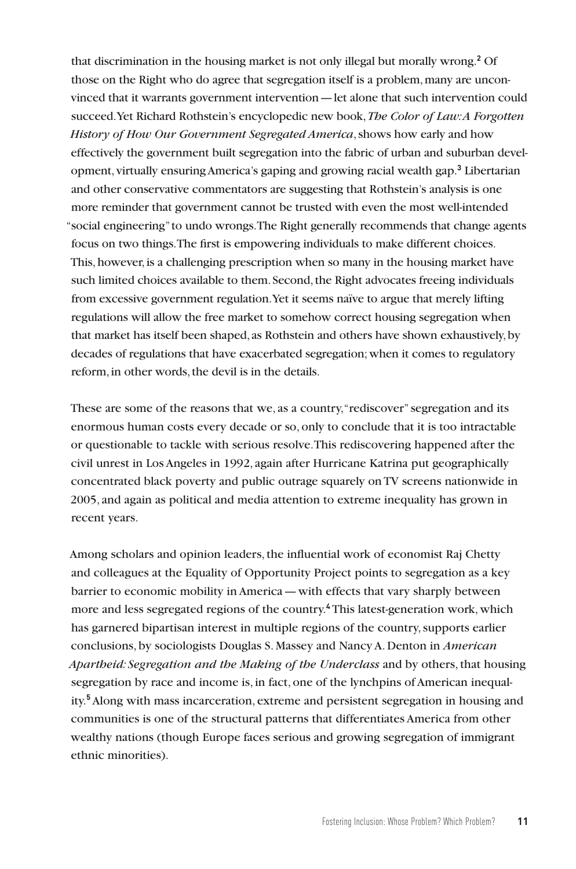that discrimination in the housing market is not only illegal but morally wrong.**<sup>2</sup>** Of those on the Right who do agree that segregation itself is a problem, many are unconvinced that it warrants government intervention—let alone that such intervention could succeed. Yet Richard Rothstein's encyclopedic new book, *The Color of Law: A Forgotten History of How Our Government Segregated America*, shows how early and how effectively the government built segregation into the fabric of urban and suburban development, virtually ensuring America's gaping and growing racial wealth gap.**<sup>3</sup>** Libertarian and other conservative commentators are suggesting that Rothstein's analysis is one more reminder that government cannot be trusted with even the most well-intended "social engineering" to undo wrongs. The Right generally recommends that change agents focus on two things. The first is empowering individuals to make different choices. This, however, is a challenging prescription when so many in the housing market have such limited choices available to them. Second, the Right advocates freeing individuals from excessive government regulation. Yet it seems naïve to argue that merely lifting regulations will allow the free market to somehow correct housing segregation when that market has itself been shaped, as Rothstein and others have shown exhaustively, by decades of regulations that have exacerbated segregation; when it comes to regulatory reform, in other words, the devil is in the details.

These are some of the reasons that we, as a country, "rediscover" segregation and its enormous human costs every decade or so, only to conclude that it is too intractable or questionable to tackle with serious resolve. This rediscovering happened after the civil unrest in Los Angeles in 1992, again after Hurricane Katrina put geographically concentrated black poverty and public outrage squarely on TV screens nationwide in 2005, and again as political and media attention to extreme inequality has grown in recent years.

Among scholars and opinion leaders, the influential work of economist Raj Chetty and colleagues at the Equality of Opportunity Project points to segregation as a key barrier to economic mobility in America—with effects that vary sharply between more and less segregated regions of the country.**<sup>4</sup>** This latest-generation work, which has garnered bipartisan interest in multiple regions of the country, supports earlier conclusions, by sociologists Douglas S. Massey and Nancy A. Denton in *American Apartheid: Segregation and the Making of the Underclass* and by others, that housing segregation by race and income is, in fact, one of the lynchpins of American inequality.**<sup>5</sup>**Along with mass incarceration, extreme and persistent segregation in housing and communities is one of the structural patterns that differentiates America from other wealthy nations (though Europe faces serious and growing segregation of immigrant ethnic minorities).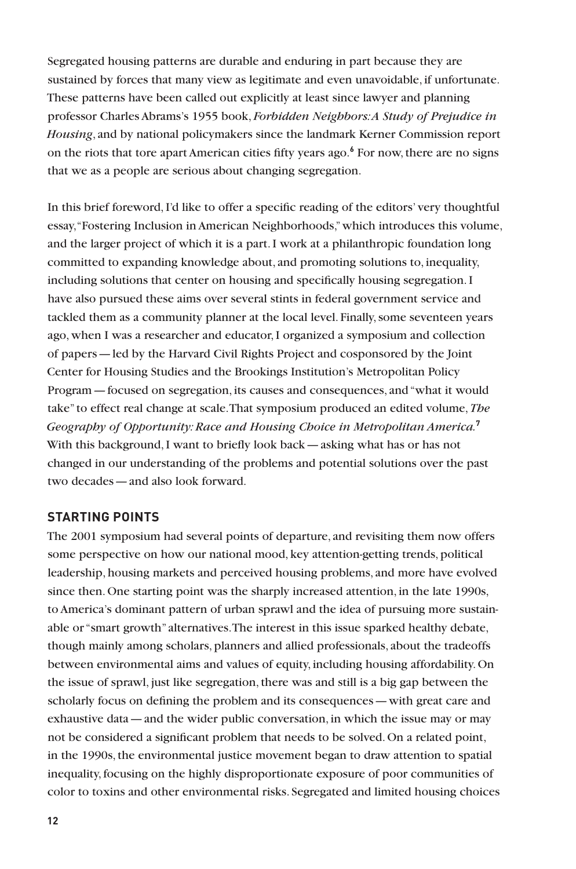Segregated housing patterns are durable and enduring in part because they are sustained by forces that many view as legitimate and even unavoidable, if unfortunate. These patterns have been called out explicitly at least since lawyer and planning professor Charles Abrams's 1955 book, *Forbidden Neighbors: A Study of Prejudice in Housing*, and by national policymakers since the landmark Kerner Commission report on the riots that tore apart American cities fifty years ago.<sup>6</sup> For now, there are no signs that we as a people are serious about changing segregation.

In this brief foreword, I'd like to offer a specific reading of the editors' very thoughtful essay, "Fostering Inclusion in American Neighborhoods," which introduces this volume, and the larger project of which it is a part. I work at a philanthropic foundation long committed to expanding knowledge about, and promoting solutions to, inequality, including solutions that center on housing and specifically housing segregation. I have also pursued these aims over several stints in federal government service and tackled them as a community planner at the local level. Finally, some seventeen years ago, when I was a researcher and educator, I organized a symposium and collection of papers—led by the Harvard Civil Rights Project and cosponsored by the Joint Center for Housing Studies and the Brookings Institution's Metropolitan Policy Program—focused on segregation, its causes and consequences, and "what it would take" to effect real change at scale. That symposium produced an edited volume, *The Geography of Opportunity: Race and Housing Choice in Metropolitan America.***<sup>7</sup>** With this background, I want to briefly look back—asking what has or has not changed in our understanding of the problems and potential solutions over the past two decades—and also look forward.

#### **STARTING POINTS**

The 2001 symposium had several points of departure, and revisiting them now offers some perspective on how our national mood, key attention-getting trends, political leadership, housing markets and perceived housing problems, and more have evolved since then. One starting point was the sharply increased attention, in the late 1990s, to America's dominant pattern of urban sprawl and the idea of pursuing more sustainable or "smart growth" alternatives. The interest in this issue sparked healthy debate, though mainly among scholars, planners and allied professionals, about the tradeoffs between environmental aims and values of equity, including housing affordability. On the issue of sprawl, just like segregation, there was and still is a big gap between the scholarly focus on defining the problem and its consequences—with great care and exhaustive data—and the wider public conversation, in which the issue may or may not be considered a significant problem that needs to be solved. On a related point, in the 1990s, the environmental justice movement began to draw attention to spatial inequality, focusing on the highly disproportionate exposure of poor communities of color to toxins and other environmental risks. Segregated and limited housing choices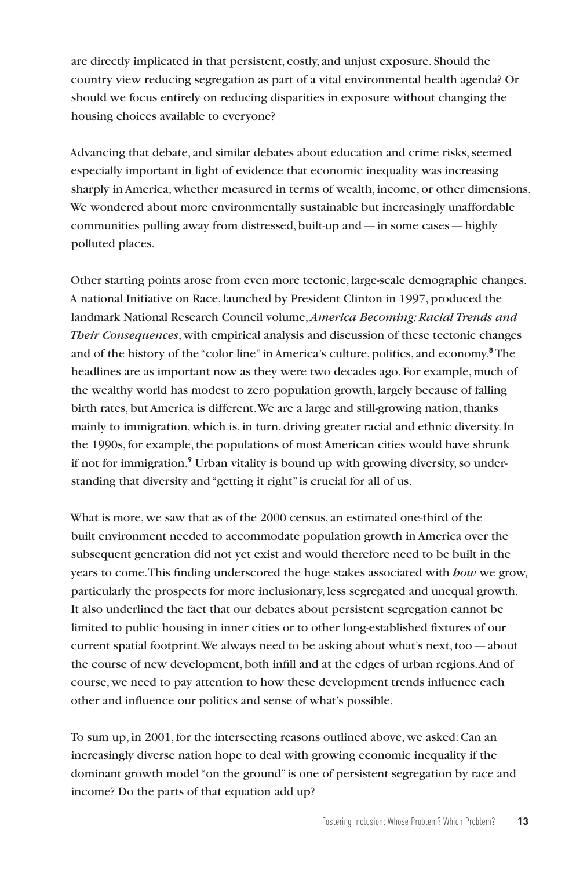are directly implicated in that persistent, costly, and unjust exposure. Should the country view reducing segregation as part of a vital environmental health agenda? Or should we focus entirely on reducing disparities in exposure without changing the housing choices available to everyone?

Advancing that debate, and similar debates about education and crime risks, seemed especially important in light of evidence that economic inequality was increasing sharply in America, whether measured in terms of wealth, income, or other dimensions. We wondered about more environmentally sustainable but increasingly unaffordable communities pulling away from distressed, built-up and—in some cases—highly polluted places.

Other starting points arose from even more tectonic, large-scale demographic changes. A national Initiative on Race, launched by President Clinton in 1997, produced the landmark National Research Council volume, *America Becoming: Racial Trends and Their Consequences*, with empirical analysis and discussion of these tectonic changes and of the history of the "color line" in America's culture, politics, and economy.**<sup>8</sup>** The headlines are as important now as they were two decades ago. For example, much of the wealthy world has modest to zero population growth, largely because of falling birth rates, but America is different. We are a large and still-growing nation, thanks mainly to immigration, which is, in turn, driving greater racial and ethnic diversity. In the 1990s, for example, the populations of most American cities would have shrunk if not for immigration.**<sup>9</sup>** Urban vitality is bound up with growing diversity, so understanding that diversity and "getting it right" is crucial for all of us.

What is more, we saw that as of the 2000 census, an estimated one-third of the built environment needed to accommodate population growth in America over the subsequent generation did not yet exist and would therefore need to be built in the years to come. This finding underscored the huge stakes associated with *how* we grow, particularly the prospects for more inclusionary, less segregated and unequal growth. It also underlined the fact that our debates about persistent segregation cannot be limited to public housing in inner cities or to other long-established fixtures of our current spatial footprint. We always need to be asking about what's next, too—about the course of new development, both infill and at the edges of urban regions. And of course, we need to pay attention to how these development trends influence each other and influence our politics and sense of what's possible.

To sum up, in 2001, for the intersecting reasons outlined above, we asked: Can an increasingly diverse nation hope to deal with growing economic inequality if the dominant growth model "on the ground" is one of persistent segregation by race and income? Do the parts of that equation add up?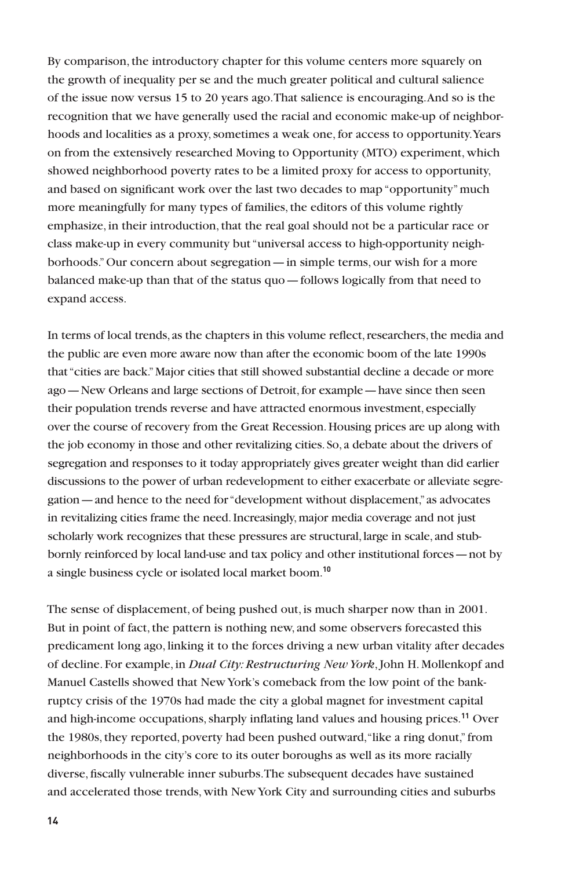By comparison, the introductory chapter for this volume centers more squarely on the growth of inequality per se and the much greater political and cultural salience of the issue now versus 15 to 20 years ago. That salience is encouraging. And so is the recognition that we have generally used the racial and economic make-up of neighborhoods and localities as a proxy, sometimes a weak one, for access to opportunity. Years on from the extensively researched Moving to Opportunity (MTO) experiment, which showed neighborhood poverty rates to be a limited proxy for access to opportunity, and based on significant work over the last two decades to map "opportunity" much more meaningfully for many types of families, the editors of this volume rightly emphasize, in their introduction, that the real goal should not be a particular race or class make-up in every community but "universal access to high-opportunity neighborhoods." Our concern about segregation—in simple terms, our wish for a more balanced make-up than that of the status quo—follows logically from that need to expand access.

In terms of local trends, as the chapters in this volume reflect, researchers, the media and the public are even more aware now than after the economic boom of the late 1990s that "cities are back." Major cities that still showed substantial decline a decade or more ago—New Orleans and large sections of Detroit, for example—have since then seen their population trends reverse and have attracted enormous investment, especially over the course of recovery from the Great Recession. Housing prices are up along with the job economy in those and other revitalizing cities. So, a debate about the drivers of segregation and responses to it today appropriately gives greater weight than did earlier discussions to the power of urban redevelopment to either exacerbate or alleviate segregation—and hence to the need for "development without displacement," as advocates in revitalizing cities frame the need. Increasingly, major media coverage and not just scholarly work recognizes that these pressures are structural, large in scale, and stubbornly reinforced by local land-use and tax policy and other institutional forces—not by a single business cycle or isolated local market boom.**<sup>10</sup>**

The sense of displacement, of being pushed out, is much sharper now than in 2001. But in point of fact, the pattern is nothing new, and some observers forecasted this predicament long ago, linking it to the forces driving a new urban vitality after decades of decline. For example, in *Dual City: Restructuring New York*, John H. Mollenkopf and Manuel Castells showed that New York's comeback from the low point of the bankruptcy crisis of the 1970s had made the city a global magnet for investment capital and high-income occupations, sharply inflating land values and housing prices.**<sup>11</sup>** Over the 1980s, they reported, poverty had been pushed outward, "like a ring donut," from neighborhoods in the city's core to its outer boroughs as well as its more racially diverse, fiscally vulnerable inner suburbs. The subsequent decades have sustained and accelerated those trends, with New York City and surrounding cities and suburbs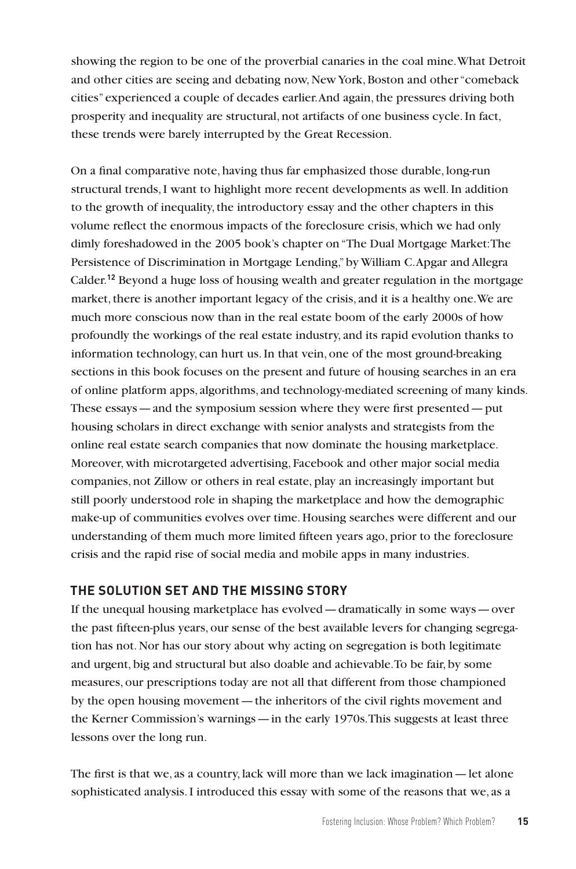showing the region to be one of the proverbial canaries in the coal mine. What Detroit and other cities are seeing and debating now, New York, Boston and other "comeback cities" experienced a couple of decades earlier. And again, the pressures driving both prosperity and inequality are structural, not artifacts of one business cycle. In fact, these trends were barely interrupted by the Great Recession.

On a final comparative note, having thus far emphasized those durable, long-run structural trends, I want to highlight more recent developments as well. In addition to the growth of inequality, the introductory essay and the other chapters in this volume reflect the enormous impacts of the foreclosure crisis, which we had only dimly foreshadowed in the 2005 book's chapter on "The Dual Mortgage Market: The Persistence of Discrimination in Mortgage Lending," by William C. Apgar and Allegra Calder.**<sup>12</sup>** Beyond a huge loss of housing wealth and greater regulation in the mortgage market, there is another important legacy of the crisis, and it is a healthy one. We are much more conscious now than in the real estate boom of the early 2000s of how profoundly the workings of the real estate industry, and its rapid evolution thanks to information technology, can hurt us. In that vein, one of the most ground-breaking sections in this book focuses on the present and future of housing searches in an era of online platform apps, algorithms, and technology-mediated screening of many kinds. These essays—and the symposium session where they were first presented—put housing scholars in direct exchange with senior analysts and strategists from the online real estate search companies that now dominate the housing marketplace. Moreover, with microtargeted advertising, Facebook and other major social media companies, not Zillow or others in real estate, play an increasingly important but still poorly understood role in shaping the marketplace and how the demographic make-up of communities evolves over time. Housing searches were different and our understanding of them much more limited fifteen years ago, prior to the foreclosure crisis and the rapid rise of social media and mobile apps in many industries.

# **THE SOLUTION SET AND THE MISSING STORY**

If the unequal housing marketplace has evolved—dramatically in some ways—over the past fifteen-plus years, our sense of the best available levers for changing segregation has not. Nor has our story about why acting on segregation is both legitimate and urgent, big and structural but also doable and achievable. To be fair, by some measures, our prescriptions today are not all that different from those championed by the open housing movement—the inheritors of the civil rights movement and the Kerner Commission's warnings—in the early 1970s. This suggests at least three lessons over the long run.

The first is that we, as a country, lack will more than we lack imagination—let alone sophisticated analysis. I introduced this essay with some of the reasons that we, as a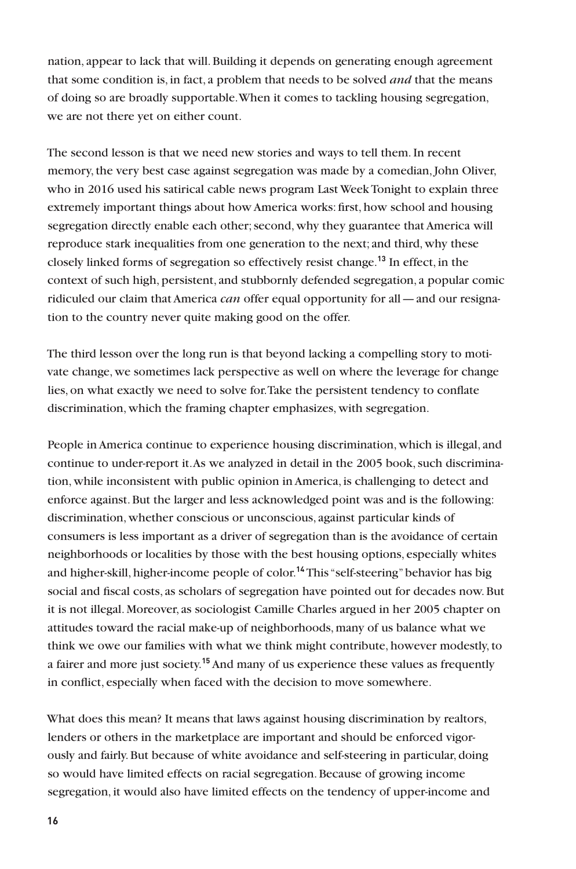nation, appear to lack that will. Building it depends on generating enough agreement that some condition is, in fact, a problem that needs to be solved *and* that the means of doing so are broadly supportable. When it comes to tackling housing segregation, we are not there yet on either count.

The second lesson is that we need new stories and ways to tell them. In recent memory, the very best case against segregation was made by a comedian, John Oliver, who in 2016 used his satirical cable news program Last Week Tonight to explain three extremely important things about how America works: first, how school and housing segregation directly enable each other; second, why they guarantee that America will reproduce stark inequalities from one generation to the next; and third, why these closely linked forms of segregation so effectively resist change.**<sup>13</sup>** In effect, in the context of such high, persistent, and stubbornly defended segregation, a popular comic ridiculed our claim that America *can* offer equal opportunity for all—and our resignation to the country never quite making good on the offer.

The third lesson over the long run is that beyond lacking a compelling story to motivate change, we sometimes lack perspective as well on where the leverage for change lies, on what exactly we need to solve for. Take the persistent tendency to conflate discrimination, which the framing chapter emphasizes, with segregation.

People in America continue to experience housing discrimination, which is illegal, and continue to under-report it. As we analyzed in detail in the 2005 book, such discrimination, while inconsistent with public opinion in America, is challenging to detect and enforce against. But the larger and less acknowledged point was and is the following: discrimination, whether conscious or unconscious, against particular kinds of consumers is less important as a driver of segregation than is the avoidance of certain neighborhoods or localities by those with the best housing options, especially whites and higher-skill, higher-income people of color.**<sup>14</sup>** This "self-steering" behavior has big social and fiscal costs, as scholars of segregation have pointed out for decades now. But it is not illegal. Moreover, as sociologist Camille Charles argued in her 2005 chapter on attitudes toward the racial make-up of neighborhoods, many of us balance what we think we owe our families with what we think might contribute, however modestly, to a fairer and more just society.**<sup>15</sup>** And many of us experience these values as frequently in conflict, especially when faced with the decision to move somewhere.

What does this mean? It means that laws against housing discrimination by realtors, lenders or others in the marketplace are important and should be enforced vigorously and fairly. But because of white avoidance and self-steering in particular, doing so would have limited effects on racial segregation. Because of growing income segregation, it would also have limited effects on the tendency of upper-income and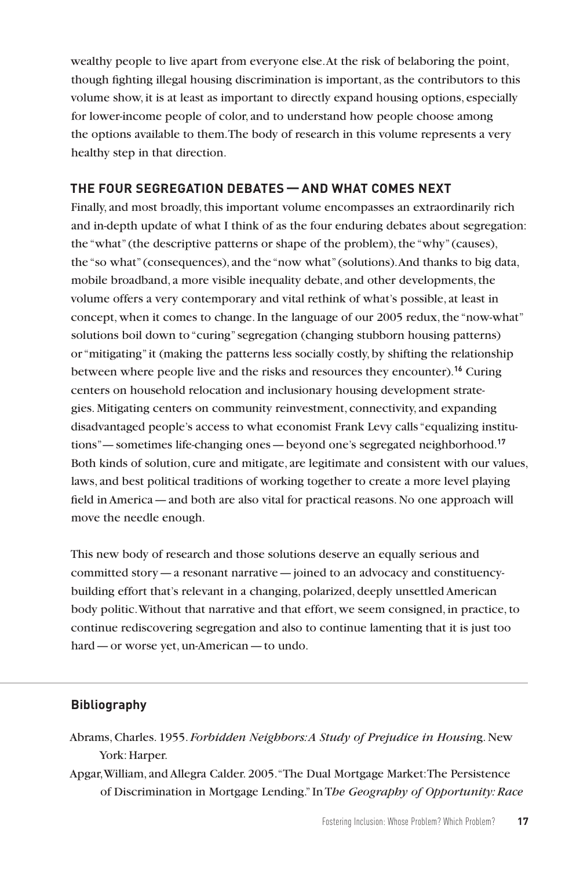wealthy people to live apart from everyone else. At the risk of belaboring the point, though fighting illegal housing discrimination is important, as the contributors to this volume show, it is at least as important to directly expand housing options, especially for lower-income people of color, and to understand how people choose among the options available to them. The body of research in this volume represents a very healthy step in that direction.

# **THE FOUR SEGREGATION DEBATES—AND WHAT COMES NEXT**

Finally, and most broadly, this important volume encompasses an extraordinarily rich and in-depth update of what I think of as the four enduring debates about segregation: the "what" (the descriptive patterns or shape of the problem), the "why" (causes), the "so what" (consequences), and the "now what" (solutions). And thanks to big data, mobile broadband, a more visible inequality debate, and other developments, the volume offers a very contemporary and vital rethink of what's possible, at least in concept, when it comes to change. In the language of our 2005 redux, the "now-what" solutions boil down to "curing" segregation (changing stubborn housing patterns) or "mitigating" it (making the patterns less socially costly, by shifting the relationship between where people live and the risks and resources they encounter).**<sup>16</sup>** Curing centers on household relocation and inclusionary housing development strategies. Mitigating centers on community reinvestment, connectivity, and expanding disadvantaged people's access to what economist Frank Levy calls "equalizing institutions"—sometimes life-changing ones—beyond one's segregated neighborhood.**<sup>17</sup>** Both kinds of solution, cure and mitigate, are legitimate and consistent with our values, laws, and best political traditions of working together to create a more level playing field in America—and both are also vital for practical reasons. No one approach will move the needle enough.

This new body of research and those solutions deserve an equally serious and committed story—a resonant narrative—joined to an advocacy and constituencybuilding effort that's relevant in a changing, polarized, deeply unsettled American body politic. Without that narrative and that effort, we seem consigned, in practice, to continue rediscovering segregation and also to continue lamenting that it is just too hard—or worse yet, un-American—to undo.

## **Bibliography**

- Abrams, Charles. 1955. *Forbidden Neighbors: A Study of Prejudice in Housin*g. New York: Harper.
- Apgar, William, and Allegra Calder. 2005. "The Dual Mortgage Market: The Persistence of Discrimination in Mortgage Lending." In T*he Geography of Opportunity: Race*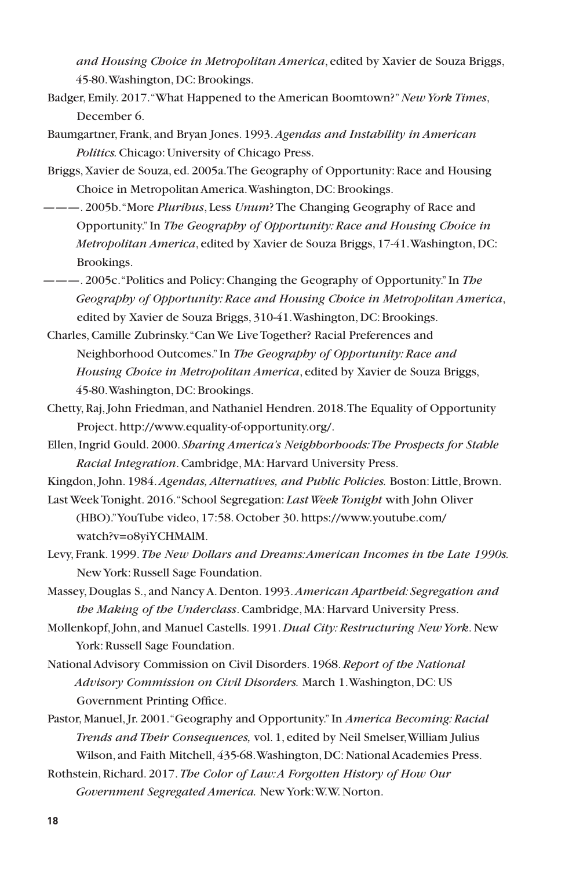*and Housing Choice in Metropolitan America*, edited by Xavier de Souza Briggs, 45-80. Washington, DC: Brookings.

- Badger, Emily. 2017. "What Happened to the American Boomtown?" *New York Times*, December 6.
- Baumgartner, Frank, and Bryan Jones. 1993. *Agendas and Instability in American Politics.* Chicago: University of Chicago Press.
- Briggs, Xavier de Souza, ed. 2005a. The Geography of Opportunity: Race and Housing Choice in Metropolitan America. Washington, DC: Brookings.
- ———. 2005b. "More *Pluribus*, Less *Unum*? The Changing Geography of Race and Opportunity." In *The Geography of Opportunity: Race and Housing Choice in Metropolitan America*, edited by Xavier de Souza Briggs, 17-41. Washington, DC: Brookings.
- ———. 2005c. "Politics and Policy: Changing the Geography of Opportunity." In *The Geography of Opportunity: Race and Housing Choice in Metropolitan America*, edited by Xavier de Souza Briggs, 310-41. Washington, DC: Brookings.
- Charles, Camille Zubrinsky. "Can We Live Together? Racial Preferences and Neighborhood Outcomes." In *The Geography of Opportunity: Race and Housing Choice in Metropolitan America*, edited by Xavier de Souza Briggs, 45-80. Washington, DC: Brookings.
- Chetty, Raj, John Friedman, and Nathaniel Hendren. 2018. The Equality of Opportunity Project. http://www.equality-of-opportunity.org/.
- Ellen, Ingrid Gould. 2000. *Sharing America's Neighborhoods: The Prospects for Stable Racial Integration*. Cambridge, MA: Harvard University Press.

Kingdon, John. 1984. *Agendas, Alternatives, and Public Policies.* Boston: Little, Brown.

Last Week Tonight. 2016. "School Segregation: *Last Week Tonight* with John Oliver (HBO)." YouTube video, 17:58. October 30. https://www.youtube.com/ watch?v=o8yiYCHMAlM.

- Levy, Frank. 1999. *The New Dollars and Dreams: American Incomes in the Late 1990s.*  New York: Russell Sage Foundation.
- Massey, Douglas S., and Nancy A. Denton. 1993. *American Apartheid: Segregation and the Making of the Underclass*. Cambridge, MA: Harvard University Press.
- Mollenkopf, John, and Manuel Castells. 1991. *Dual City: Restructuring New York*. New York: Russell Sage Foundation.

National Advisory Commission on Civil Disorders. 1968. *Report of the National Advisory Commission on Civil Disorders.* March 1. Washington, DC: US Government Printing Office.

- Pastor, Manuel, Jr. 2001. "Geography and Opportunity." In *America Becoming: Racial Trends and Their Consequences,* vol. 1, edited by Neil Smelser, William Julius Wilson, and Faith Mitchell, 435-68. Washington, DC: National Academies Press.
- Rothstein, Richard. 2017. *The Color of Law: A Forgotten History of How Our Government Segregated America.* New York: W.W. Norton.